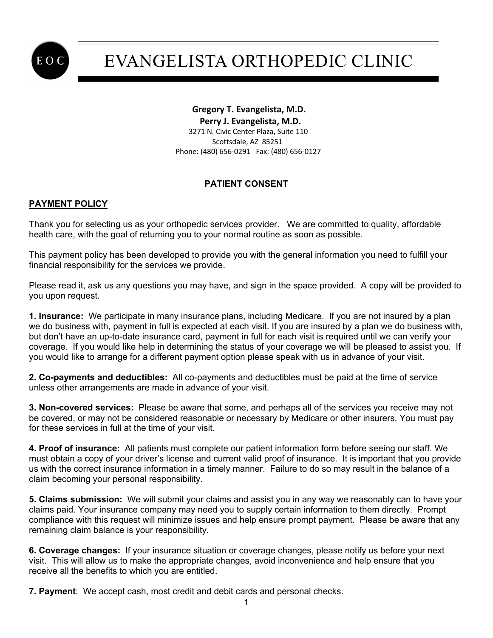

# EVANGELISTA ORTHOPEDIC CLINIC

**Gregory T. Evangelista, M.D. Perry J. Evangelista, M.D.** 3271 N. Civic Center Plaza, Suite 110 Scottsdale, AZ 85251 Phone: (480) 656-0291 Fax: (480) 656-0127

### **PATIENT CONSENT**

### **PAYMENT POLICY**

Thank you for selecting us as your orthopedic services provider. We are committed to quality, affordable health care, with the goal of returning you to your normal routine as soon as possible.

This payment policy has been developed to provide you with the general information you need to fulfill your financial responsibility for the services we provide.

Please read it, ask us any questions you may have, and sign in the space provided. A copy will be provided to you upon request.

**1. Insurance:** We participate in many insurance plans, including Medicare. If you are not insured by a plan we do business with, payment in full is expected at each visit. If you are insured by a plan we do business with, but don't have an up-to-date insurance card, payment in full for each visit is required until we can verify your coverage. If you would like help in determining the status of your coverage we will be pleased to assist you. If you would like to arrange for a different payment option please speak with us in advance of your visit.

**2. Co-payments and deductibles:** All co-payments and deductibles must be paid at the time of service unless other arrangements are made in advance of your visit.

**3. Non-covered services:** Please be aware that some, and perhaps all of the services you receive may not be covered, or may not be considered reasonable or necessary by Medicare or other insurers. You must pay for these services in full at the time of your visit.

**4. Proof of insurance:** All patients must complete our patient information form before seeing our staff. We must obtain a copy of your driver's license and current valid proof of insurance. It is important that you provide us with the correct insurance information in a timely manner. Failure to do so may result in the balance of a claim becoming your personal responsibility.

**5. Claims submission:** We will submit your claims and assist you in any way we reasonably can to have your claims paid. Your insurance company may need you to supply certain information to them directly. Prompt compliance with this request will minimize issues and help ensure prompt payment. Please be aware that any remaining claim balance is your responsibility.

**6. Coverage changes:** If your insurance situation or coverage changes, please notify us before your next visit. This will allow us to make the appropriate changes, avoid inconvenience and help ensure that you receive all the benefits to which you are entitled.

**7. Payment**: We accept cash, most credit and debit cards and personal checks.